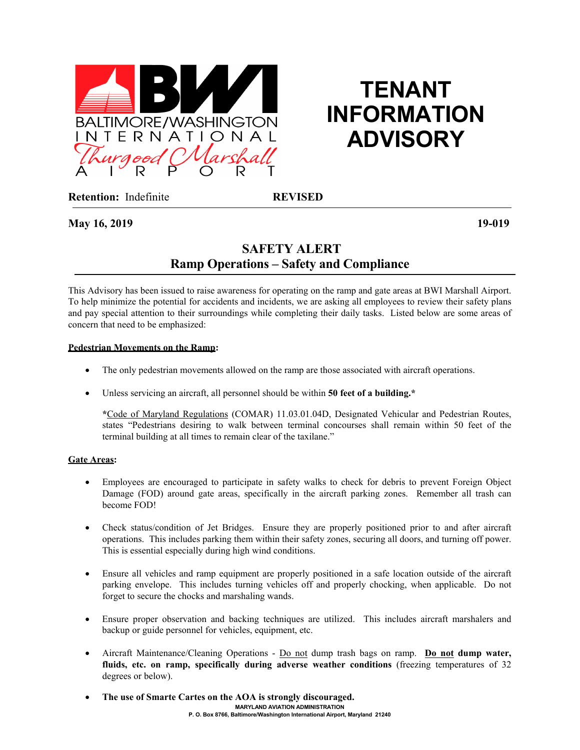

# **TENANT INFORMATION ADVISORY**

**Retention:** Indefinite **REVISED**

**May 16, 2019 19-019**

# **SAFETY ALERT Ramp Operations – Safety and Compliance**

This Advisory has been issued to raise awareness for operating on the ramp and gate areas at BWI Marshall Airport. To help minimize the potential for accidents and incidents, we are asking all employees to review their safety plans and pay special attention to their surroundings while completing their daily tasks. Listed below are some areas of concern that need to be emphasized:

### **Pedestrian Movements on the Ramp:**

- The only pedestrian movements allowed on the ramp are those associated with aircraft operations.
- Unless servicing an aircraft, all personnel should be within **50 feet of a building.\***

**\***Code of Maryland Regulations (COMAR) 11.03.01.04D, Designated Vehicular and Pedestrian Routes, states "Pedestrians desiring to walk between terminal concourses shall remain within 50 feet of the terminal building at all times to remain clear of the taxilane."

#### **Gate Areas:**

- Employees are encouraged to participate in safety walks to check for debris to prevent Foreign Object Damage (FOD) around gate areas, specifically in the aircraft parking zones. Remember all trash can become FOD!
- Check status/condition of Jet Bridges. Ensure they are properly positioned prior to and after aircraft operations. This includes parking them within their safety zones, securing all doors, and turning off power. This is essential especially during high wind conditions.
- Ensure all vehicles and ramp equipment are properly positioned in a safe location outside of the aircraft parking envelope. This includes turning vehicles off and properly chocking, when applicable. Do not forget to secure the chocks and marshaling wands.
- Ensure proper observation and backing techniques are utilized. This includes aircraft marshalers and backup or guide personnel for vehicles, equipment, etc.
- Aircraft Maintenance/Cleaning Operations Do not dump trash bags on ramp. **Do not dump water, fluids, etc. on ramp, specifically during adverse weather conditions** (freezing temperatures of 32 degrees or below).
- **MARYLAND AVIATION ADMINISTRATION P. O. Box 8766, Baltimore/Washington International Airport, Maryland 21240** • **The use of Smarte Cartes on the AOA is strongly discouraged.**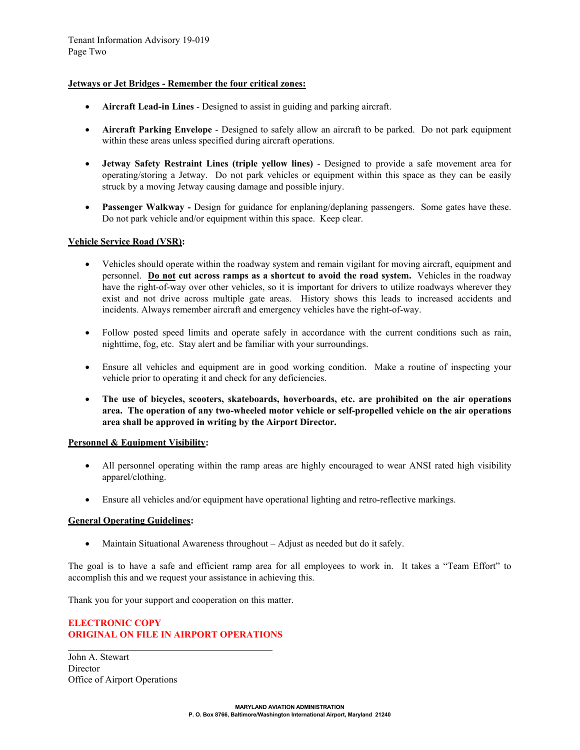#### **Jetways or Jet Bridges - Remember the four critical zones:**

- **Aircraft Lead-in Lines** Designed to assist in guiding and parking aircraft.
- **Aircraft Parking Envelope** Designed to safely allow an aircraft to be parked. Do not park equipment within these areas unless specified during aircraft operations.
- **Jetway Safety Restraint Lines (triple yellow lines)** Designed to provide a safe movement area for operating/storing a Jetway. Do not park vehicles or equipment within this space as they can be easily struck by a moving Jetway causing damage and possible injury.
- **Passenger Walkway -** Design for guidance for enplaning/deplaning passengers. Some gates have these. Do not park vehicle and/or equipment within this space. Keep clear.

#### **Vehicle Service Road (VSR):**

- Vehicles should operate within the roadway system and remain vigilant for moving aircraft, equipment and personnel. **Do not cut across ramps as a shortcut to avoid the road system.** Vehicles in the roadway have the right-of-way over other vehicles, so it is important for drivers to utilize roadways wherever they exist and not drive across multiple gate areas. History shows this leads to increased accidents and incidents. Always remember aircraft and emergency vehicles have the right-of-way.
- Follow posted speed limits and operate safely in accordance with the current conditions such as rain, nighttime, fog, etc. Stay alert and be familiar with your surroundings.
- Ensure all vehicles and equipment are in good working condition. Make a routine of inspecting your vehicle prior to operating it and check for any deficiencies.
- **The use of bicycles, scooters, skateboards, hoverboards, etc. are prohibited on the air operations area. The operation of any two-wheeled motor vehicle or self-propelled vehicle on the air operations area shall be approved in writing by the Airport Director.**

#### **Personnel & Equipment Visibility:**

- All personnel operating within the ramp areas are highly encouraged to wear ANSI rated high visibility apparel/clothing.
- Ensure all vehicles and/or equipment have operational lighting and retro-reflective markings.

#### **General Operating Guidelines:**

• Maintain Situational Awareness throughout – Adjust as needed but do it safely.

The goal is to have a safe and efficient ramp area for all employees to work in. It takes a "Team Effort" to accomplish this and we request your assistance in achieving this.

Thank you for your support and cooperation on this matter.

## **ELECTRONIC COPY ORIGINAL ON FILE IN AIRPORT OPERATIONS**

l

John A. Stewart **Director** Office of Airport Operations